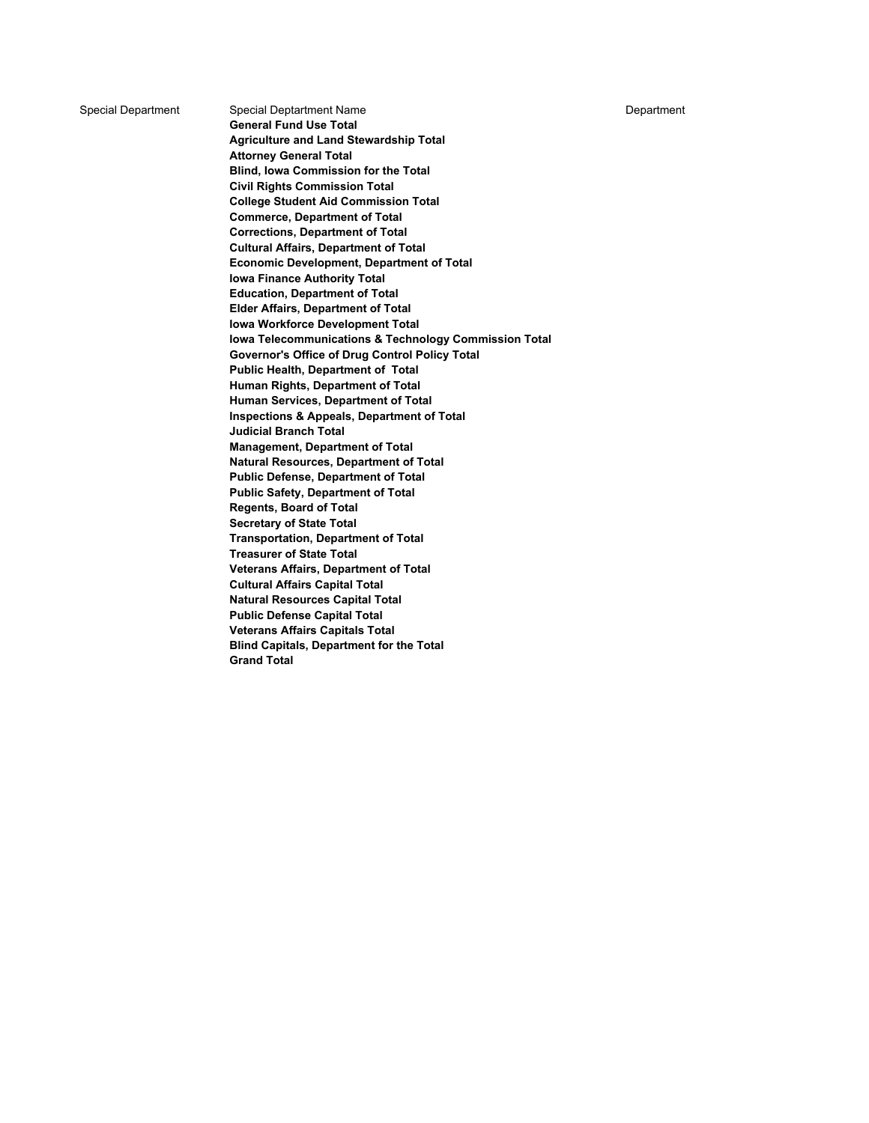Special Department Special Deptartment Name **Department** Special Department Name

**General Fund Use Total Agriculture and Land Stewardship Total Attorney General Total Blind, Iowa Commission for the Total Civil Rights Commission Total College Student Aid Commission Total Commerce, Department of Total Corrections, Department of Total Cultural Affairs, Department of Total Economic Development, Department of Total Iowa Finance Authority Total Education, Department of Total Elder Affairs, Department of Total Iowa Workforce Development Total Iowa Telecommunications & Technology Commission Total Governor's Office of Drug Control Policy Total Public Health, Department of Total Human Rights, Department of Total Human Services, Department of Total Inspections & Appeals, Department of Total Judicial Branch Total Management, Department of Total Natural Resources, Department of Total Public Defense, Department of Total Public Safety, Department of Total Regents, Board of Total Secretary of State Total Transportation, Department of Total Treasurer of State Total Veterans Affairs, Department of Total Cultural Affairs Capital Total Natural Resources Capital Total Public Defense Capital Total Veterans Affairs Capitals Total Blind Capitals, Department for the Total Grand Total**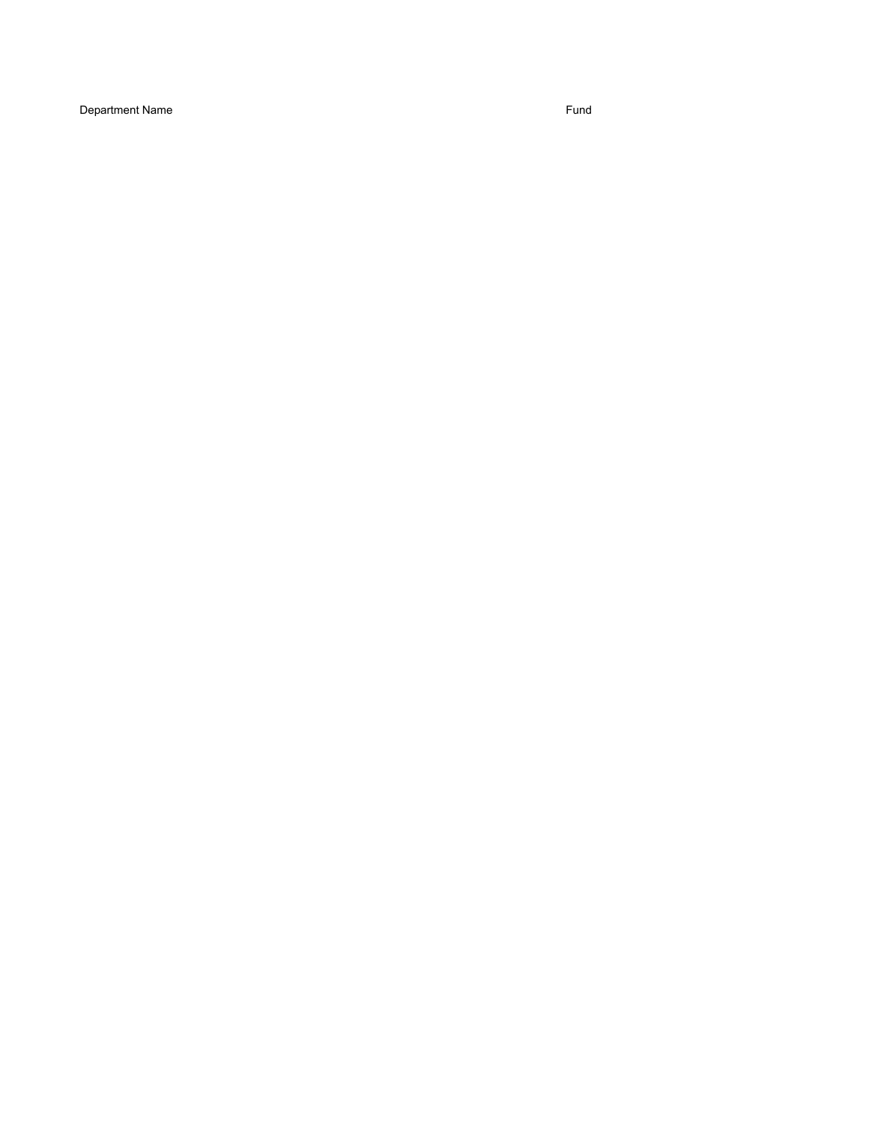Department Name Fund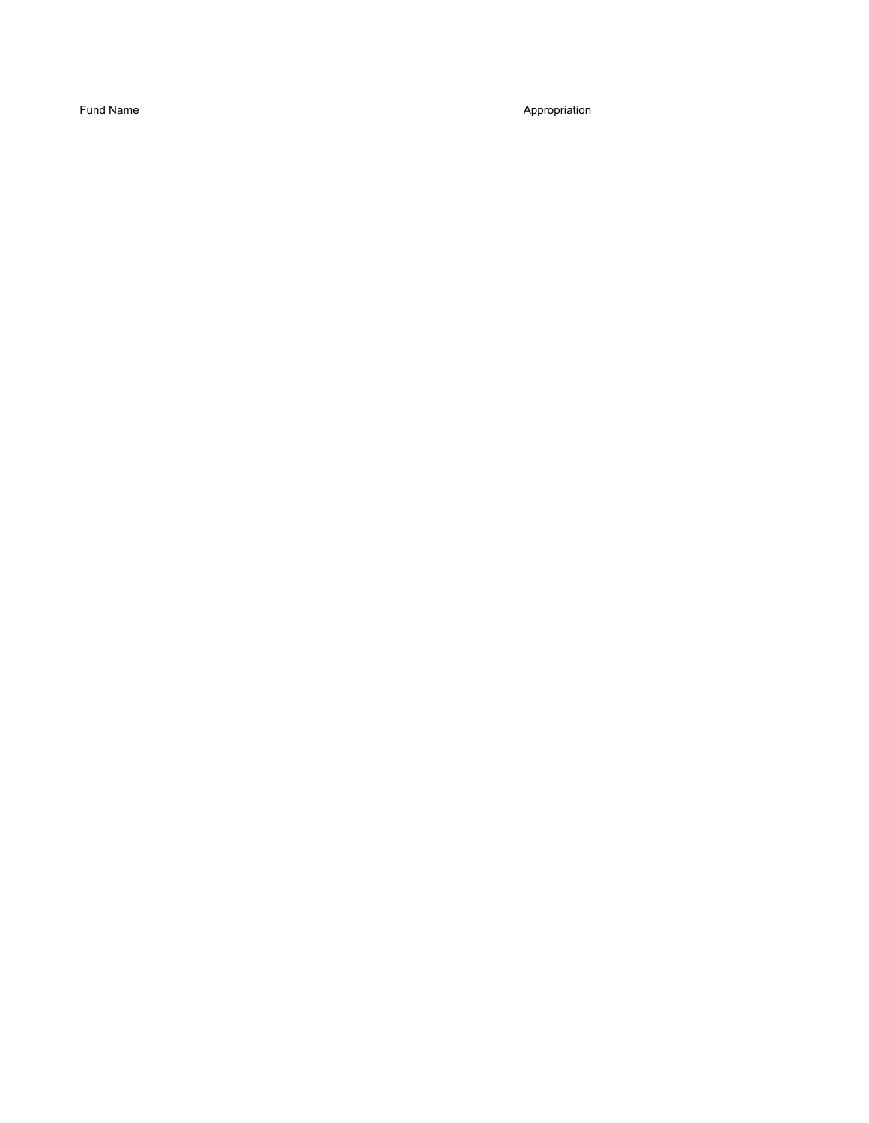Fund Name Appropriation Appropriation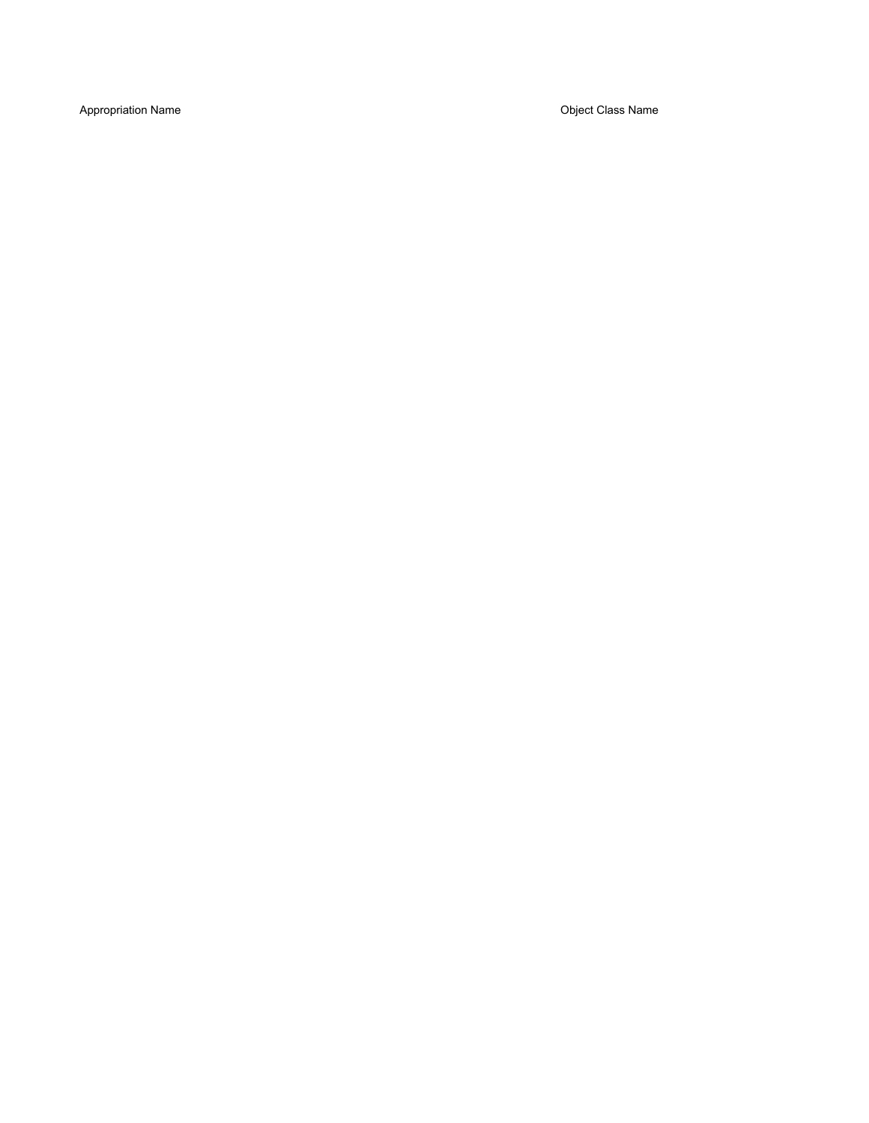Appropriation Name **Object Class Name** Object Class Name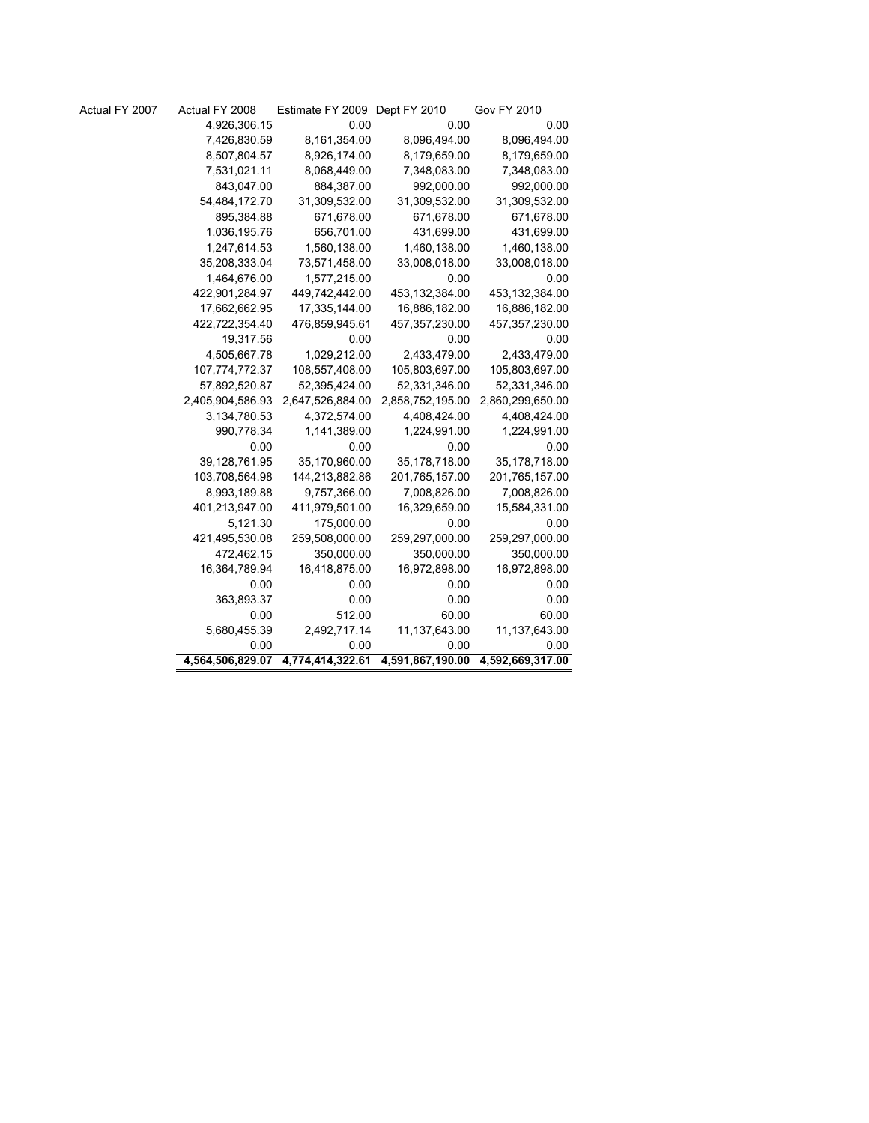| Actual FY 2007 | Actual FY 2008   | Estimate FY 2009 Dept FY 2010 |                  | <b>Gov FY 2010</b> |
|----------------|------------------|-------------------------------|------------------|--------------------|
|                | 4,926,306.15     | 0.00                          | 0.00             | 0.00               |
|                | 7,426,830.59     | 8,161,354.00                  | 8,096,494.00     | 8,096,494.00       |
|                | 8,507,804.57     | 8,926,174.00                  | 8,179,659.00     | 8,179,659.00       |
|                | 7,531,021.11     | 8,068,449.00                  | 7,348,083.00     | 7,348,083.00       |
|                | 843,047.00       | 884,387.00                    | 992,000.00       | 992,000.00         |
|                | 54,484,172.70    | 31,309,532.00                 | 31,309,532.00    | 31,309,532.00      |
|                | 895,384.88       | 671,678.00                    | 671,678.00       | 671,678.00         |
|                | 1,036,195.76     | 656,701.00                    | 431,699.00       | 431,699.00         |
|                | 1,247,614.53     | 1,560,138.00                  | 1,460,138.00     | 1,460,138.00       |
|                | 35,208,333.04    | 73,571,458.00                 | 33,008,018.00    | 33,008,018.00      |
|                | 1,464,676.00     | 1,577,215.00                  | 0.00             | 0.00               |
|                | 422,901,284.97   | 449,742,442.00                | 453,132,384.00   | 453,132,384.00     |
|                | 17,662,662.95    | 17,335,144.00                 | 16,886,182.00    | 16,886,182.00      |
|                | 422,722,354.40   | 476,859,945.61                | 457,357,230.00   | 457,357,230.00     |
|                | 19,317.56        | 0.00                          | 0.00             | 0.00               |
|                | 4,505,667.78     | 1,029,212.00                  | 2,433,479.00     | 2,433,479.00       |
|                | 107,774,772.37   | 108,557,408.00                | 105,803,697.00   | 105,803,697.00     |
|                | 57,892,520.87    | 52,395,424.00                 | 52,331,346.00    | 52,331,346.00      |
|                | 2,405,904,586.93 | 2,647,526,884.00              | 2,858,752,195.00 | 2,860,299,650.00   |
|                | 3,134,780.53     | 4,372,574.00                  | 4,408,424.00     | 4,408,424.00       |
|                | 990,778.34       | 1,141,389.00                  | 1,224,991.00     | 1,224,991.00       |
|                | 0.00             | 0.00                          | 0.00             | 0.00               |
|                | 39,128,761.95    | 35,170,960.00                 | 35,178,718.00    | 35,178,718.00      |
|                | 103,708,564.98   | 144,213,882.86                | 201,765,157.00   | 201,765,157.00     |
|                | 8,993,189.88     | 9,757,366.00                  | 7,008,826.00     | 7,008,826.00       |
|                | 401,213,947.00   | 411,979,501.00                | 16,329,659.00    | 15,584,331.00      |
|                | 5,121.30         | 175,000.00                    | 0.00             | 0.00               |
|                | 421,495,530.08   | 259,508,000.00                | 259,297,000.00   | 259,297,000.00     |
|                | 472,462.15       | 350,000.00                    | 350,000.00       | 350,000.00         |
|                | 16,364,789.94    | 16,418,875.00                 | 16,972,898.00    | 16,972,898.00      |
|                | 0.00             | 0.00                          | 0.00             | 0.00               |
|                | 363,893.37       | 0.00                          | 0.00             | 0.00               |
|                | 0.00             | 512.00                        | 60.00            | 60.00              |
|                | 5,680,455.39     | 2,492,717.14                  | 11,137,643.00    | 11,137,643.00      |
|                | 0.00             | 0.00                          | 0.00             | 0.00               |
|                | 4,564,506,829.07 | 4,774,414,322.61              | 4,591,867,190.00 | 4,592,669,317.00   |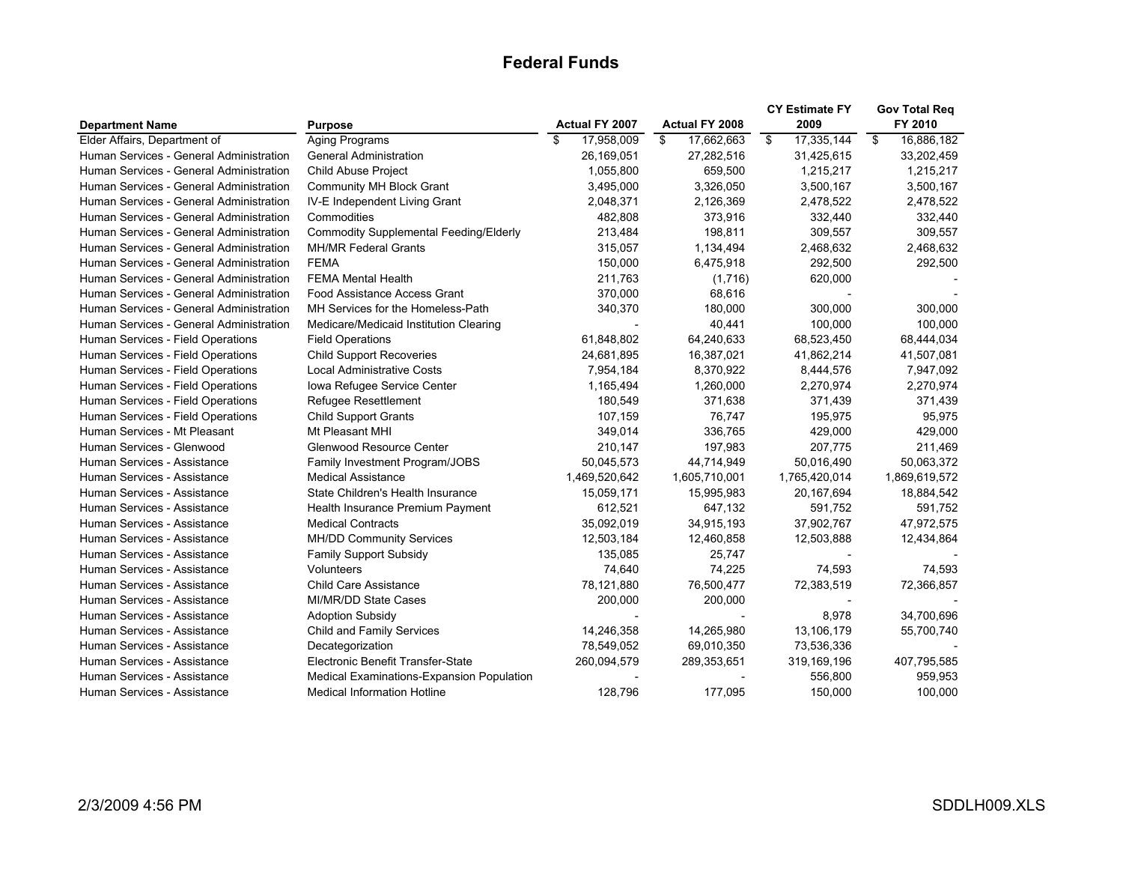## **Federal Funds**

| 17,958,009<br>\$<br>17,335,144<br>16,886,182<br>Elder Affairs, Department of<br>Aging Programs<br>\$<br>\$<br>17,662,663<br>$\mathfrak{L}$<br>Human Services - General Administration<br><b>General Administration</b><br>26,169,051<br>27,282,516<br>31,425,615<br>33,202,459<br>Human Services - General Administration<br>Child Abuse Project<br>1,055,800<br>659,500<br>1,215,217<br>1,215,217<br>Human Services - General Administration<br><b>Community MH Block Grant</b><br>3,495,000<br>3,326,050<br>3,500,167<br>3,500,167<br>Human Services - General Administration<br>IV-E Independent Living Grant<br>2,126,369<br>2,478,522<br>2,478,522<br>2,048,371<br>Human Services - General Administration<br>Commodities<br>482,808<br>373,916<br>332,440<br>332,440<br>Human Services - General Administration<br><b>Commodity Supplemental Feeding/Elderly</b><br>198,811<br>309,557<br>309,557<br>213,484<br>Human Services - General Administration<br><b>MH/MR Federal Grants</b><br>1,134,494<br>2,468,632<br>2,468,632<br>315,057<br>Human Services - General Administration<br><b>FEMA</b><br>150,000<br>6,475,918<br>292,500<br>292,500<br>Human Services - General Administration<br><b>FEMA Mental Health</b><br>211,763<br>(1,716)<br>620,000<br>Human Services - General Administration<br>Food Assistance Access Grant<br>370,000<br>68,616<br>Human Services - General Administration<br>MH Services for the Homeless-Path<br>340,370<br>180,000<br>300,000<br>300.000<br>Human Services - General Administration<br>40,441<br>100,000<br>100,000<br>Medicare/Medicaid Institution Clearing<br>Human Services - Field Operations<br>61,848,802<br>64,240,633<br>68,523,450<br>68,444,034<br><b>Field Operations</b><br>Human Services - Field Operations<br><b>Child Support Recoveries</b><br>16,387,021<br>41,862,214<br>24,681,895<br>41,507,081<br><b>Local Administrative Costs</b><br>Human Services - Field Operations<br>8,370,922<br>7,954,184<br>8,444,576<br>7,947,092<br>Iowa Refugee Service Center<br>1,260,000<br>2,270,974<br>Human Services - Field Operations<br>1,165,494<br>2,270,974<br>Human Services - Field Operations<br>180,549<br>371,638<br>371,439<br>Refugee Resettlement<br>371,439<br>Human Services - Field Operations<br><b>Child Support Grants</b><br>107,159<br>76,747<br>95,975<br>195,975<br>429,000<br>Human Services - Mt Pleasant<br>Mt Pleasant MHI<br>349,014<br>336,765<br>429,000<br>211,469<br>Human Services - Glenwood<br>Glenwood Resource Center<br>210,147<br>197,983<br>207,775<br>50,063,372<br>Human Services - Assistance<br>50,045,573<br>44,714,949<br>50,016,490<br>Family Investment Program/JOBS<br>1,605,710,001<br>1,869,619,572<br>Human Services - Assistance<br><b>Medical Assistance</b><br>1,469,520,642<br>1,765,420,014<br>State Children's Health Insurance<br>Human Services - Assistance<br>15,059,171<br>15,995,983<br>20,167,694<br>18,884,542<br>Human Services - Assistance<br>Health Insurance Premium Payment<br>612,521<br>647,132<br>591,752<br>591,752<br>Human Services - Assistance<br><b>Medical Contracts</b><br>35,092,019<br>34,915,193<br>37,902,767<br>47,972,575<br>Human Services - Assistance<br><b>MH/DD Community Services</b><br>12,503,184<br>12,460,858<br>12,503,888<br>12,434,864<br>Human Services - Assistance<br><b>Family Support Subsidy</b><br>135,085<br>25.747<br>Human Services - Assistance<br>74,640<br>74,225<br>74,593<br>Volunteers<br>74,593<br>Human Services - Assistance<br><b>Child Care Assistance</b><br>78,121,880<br>72,383,519 |                        |                | Actual FY 2007 | Actual FY 2008 | <b>CY Estimate FY</b> | <b>Gov Total Reg</b><br>FY 2010 |
|---------------------------------------------------------------------------------------------------------------------------------------------------------------------------------------------------------------------------------------------------------------------------------------------------------------------------------------------------------------------------------------------------------------------------------------------------------------------------------------------------------------------------------------------------------------------------------------------------------------------------------------------------------------------------------------------------------------------------------------------------------------------------------------------------------------------------------------------------------------------------------------------------------------------------------------------------------------------------------------------------------------------------------------------------------------------------------------------------------------------------------------------------------------------------------------------------------------------------------------------------------------------------------------------------------------------------------------------------------------------------------------------------------------------------------------------------------------------------------------------------------------------------------------------------------------------------------------------------------------------------------------------------------------------------------------------------------------------------------------------------------------------------------------------------------------------------------------------------------------------------------------------------------------------------------------------------------------------------------------------------------------------------------------------------------------------------------------------------------------------------------------------------------------------------------------------------------------------------------------------------------------------------------------------------------------------------------------------------------------------------------------------------------------------------------------------------------------------------------------------------------------------------------------------------------------------------------------------------------------------------------------------------------------------------------------------------------------------------------------------------------------------------------------------------------------------------------------------------------------------------------------------------------------------------------------------------------------------------------------------------------------------------------------------------------------------------------------------------------------------------------------------------------------------------------------------------------------------------------------------------------------------------------------------------------------------------------------------------------------------------------------------------------------------------------------------------------------------------------------------------------------------------------------------------------------------------------|------------------------|----------------|----------------|----------------|-----------------------|---------------------------------|
|                                                                                                                                                                                                                                                                                                                                                                                                                                                                                                                                                                                                                                                                                                                                                                                                                                                                                                                                                                                                                                                                                                                                                                                                                                                                                                                                                                                                                                                                                                                                                                                                                                                                                                                                                                                                                                                                                                                                                                                                                                                                                                                                                                                                                                                                                                                                                                                                                                                                                                                                                                                                                                                                                                                                                                                                                                                                                                                                                                                                                                                                                                                                                                                                                                                                                                                                                                                                                                                                                                                                                                                 | <b>Department Name</b> | <b>Purpose</b> |                |                | 2009                  |                                 |
|                                                                                                                                                                                                                                                                                                                                                                                                                                                                                                                                                                                                                                                                                                                                                                                                                                                                                                                                                                                                                                                                                                                                                                                                                                                                                                                                                                                                                                                                                                                                                                                                                                                                                                                                                                                                                                                                                                                                                                                                                                                                                                                                                                                                                                                                                                                                                                                                                                                                                                                                                                                                                                                                                                                                                                                                                                                                                                                                                                                                                                                                                                                                                                                                                                                                                                                                                                                                                                                                                                                                                                                 |                        |                |                |                |                       |                                 |
|                                                                                                                                                                                                                                                                                                                                                                                                                                                                                                                                                                                                                                                                                                                                                                                                                                                                                                                                                                                                                                                                                                                                                                                                                                                                                                                                                                                                                                                                                                                                                                                                                                                                                                                                                                                                                                                                                                                                                                                                                                                                                                                                                                                                                                                                                                                                                                                                                                                                                                                                                                                                                                                                                                                                                                                                                                                                                                                                                                                                                                                                                                                                                                                                                                                                                                                                                                                                                                                                                                                                                                                 |                        |                |                |                |                       |                                 |
|                                                                                                                                                                                                                                                                                                                                                                                                                                                                                                                                                                                                                                                                                                                                                                                                                                                                                                                                                                                                                                                                                                                                                                                                                                                                                                                                                                                                                                                                                                                                                                                                                                                                                                                                                                                                                                                                                                                                                                                                                                                                                                                                                                                                                                                                                                                                                                                                                                                                                                                                                                                                                                                                                                                                                                                                                                                                                                                                                                                                                                                                                                                                                                                                                                                                                                                                                                                                                                                                                                                                                                                 |                        |                |                |                |                       |                                 |
|                                                                                                                                                                                                                                                                                                                                                                                                                                                                                                                                                                                                                                                                                                                                                                                                                                                                                                                                                                                                                                                                                                                                                                                                                                                                                                                                                                                                                                                                                                                                                                                                                                                                                                                                                                                                                                                                                                                                                                                                                                                                                                                                                                                                                                                                                                                                                                                                                                                                                                                                                                                                                                                                                                                                                                                                                                                                                                                                                                                                                                                                                                                                                                                                                                                                                                                                                                                                                                                                                                                                                                                 |                        |                |                |                |                       |                                 |
|                                                                                                                                                                                                                                                                                                                                                                                                                                                                                                                                                                                                                                                                                                                                                                                                                                                                                                                                                                                                                                                                                                                                                                                                                                                                                                                                                                                                                                                                                                                                                                                                                                                                                                                                                                                                                                                                                                                                                                                                                                                                                                                                                                                                                                                                                                                                                                                                                                                                                                                                                                                                                                                                                                                                                                                                                                                                                                                                                                                                                                                                                                                                                                                                                                                                                                                                                                                                                                                                                                                                                                                 |                        |                |                |                |                       |                                 |
|                                                                                                                                                                                                                                                                                                                                                                                                                                                                                                                                                                                                                                                                                                                                                                                                                                                                                                                                                                                                                                                                                                                                                                                                                                                                                                                                                                                                                                                                                                                                                                                                                                                                                                                                                                                                                                                                                                                                                                                                                                                                                                                                                                                                                                                                                                                                                                                                                                                                                                                                                                                                                                                                                                                                                                                                                                                                                                                                                                                                                                                                                                                                                                                                                                                                                                                                                                                                                                                                                                                                                                                 |                        |                |                |                |                       |                                 |
|                                                                                                                                                                                                                                                                                                                                                                                                                                                                                                                                                                                                                                                                                                                                                                                                                                                                                                                                                                                                                                                                                                                                                                                                                                                                                                                                                                                                                                                                                                                                                                                                                                                                                                                                                                                                                                                                                                                                                                                                                                                                                                                                                                                                                                                                                                                                                                                                                                                                                                                                                                                                                                                                                                                                                                                                                                                                                                                                                                                                                                                                                                                                                                                                                                                                                                                                                                                                                                                                                                                                                                                 |                        |                |                |                |                       |                                 |
|                                                                                                                                                                                                                                                                                                                                                                                                                                                                                                                                                                                                                                                                                                                                                                                                                                                                                                                                                                                                                                                                                                                                                                                                                                                                                                                                                                                                                                                                                                                                                                                                                                                                                                                                                                                                                                                                                                                                                                                                                                                                                                                                                                                                                                                                                                                                                                                                                                                                                                                                                                                                                                                                                                                                                                                                                                                                                                                                                                                                                                                                                                                                                                                                                                                                                                                                                                                                                                                                                                                                                                                 |                        |                |                |                |                       |                                 |
|                                                                                                                                                                                                                                                                                                                                                                                                                                                                                                                                                                                                                                                                                                                                                                                                                                                                                                                                                                                                                                                                                                                                                                                                                                                                                                                                                                                                                                                                                                                                                                                                                                                                                                                                                                                                                                                                                                                                                                                                                                                                                                                                                                                                                                                                                                                                                                                                                                                                                                                                                                                                                                                                                                                                                                                                                                                                                                                                                                                                                                                                                                                                                                                                                                                                                                                                                                                                                                                                                                                                                                                 |                        |                |                |                |                       |                                 |
|                                                                                                                                                                                                                                                                                                                                                                                                                                                                                                                                                                                                                                                                                                                                                                                                                                                                                                                                                                                                                                                                                                                                                                                                                                                                                                                                                                                                                                                                                                                                                                                                                                                                                                                                                                                                                                                                                                                                                                                                                                                                                                                                                                                                                                                                                                                                                                                                                                                                                                                                                                                                                                                                                                                                                                                                                                                                                                                                                                                                                                                                                                                                                                                                                                                                                                                                                                                                                                                                                                                                                                                 |                        |                |                |                |                       |                                 |
|                                                                                                                                                                                                                                                                                                                                                                                                                                                                                                                                                                                                                                                                                                                                                                                                                                                                                                                                                                                                                                                                                                                                                                                                                                                                                                                                                                                                                                                                                                                                                                                                                                                                                                                                                                                                                                                                                                                                                                                                                                                                                                                                                                                                                                                                                                                                                                                                                                                                                                                                                                                                                                                                                                                                                                                                                                                                                                                                                                                                                                                                                                                                                                                                                                                                                                                                                                                                                                                                                                                                                                                 |                        |                |                |                |                       |                                 |
|                                                                                                                                                                                                                                                                                                                                                                                                                                                                                                                                                                                                                                                                                                                                                                                                                                                                                                                                                                                                                                                                                                                                                                                                                                                                                                                                                                                                                                                                                                                                                                                                                                                                                                                                                                                                                                                                                                                                                                                                                                                                                                                                                                                                                                                                                                                                                                                                                                                                                                                                                                                                                                                                                                                                                                                                                                                                                                                                                                                                                                                                                                                                                                                                                                                                                                                                                                                                                                                                                                                                                                                 |                        |                |                |                |                       |                                 |
|                                                                                                                                                                                                                                                                                                                                                                                                                                                                                                                                                                                                                                                                                                                                                                                                                                                                                                                                                                                                                                                                                                                                                                                                                                                                                                                                                                                                                                                                                                                                                                                                                                                                                                                                                                                                                                                                                                                                                                                                                                                                                                                                                                                                                                                                                                                                                                                                                                                                                                                                                                                                                                                                                                                                                                                                                                                                                                                                                                                                                                                                                                                                                                                                                                                                                                                                                                                                                                                                                                                                                                                 |                        |                |                |                |                       |                                 |
|                                                                                                                                                                                                                                                                                                                                                                                                                                                                                                                                                                                                                                                                                                                                                                                                                                                                                                                                                                                                                                                                                                                                                                                                                                                                                                                                                                                                                                                                                                                                                                                                                                                                                                                                                                                                                                                                                                                                                                                                                                                                                                                                                                                                                                                                                                                                                                                                                                                                                                                                                                                                                                                                                                                                                                                                                                                                                                                                                                                                                                                                                                                                                                                                                                                                                                                                                                                                                                                                                                                                                                                 |                        |                |                |                |                       |                                 |
|                                                                                                                                                                                                                                                                                                                                                                                                                                                                                                                                                                                                                                                                                                                                                                                                                                                                                                                                                                                                                                                                                                                                                                                                                                                                                                                                                                                                                                                                                                                                                                                                                                                                                                                                                                                                                                                                                                                                                                                                                                                                                                                                                                                                                                                                                                                                                                                                                                                                                                                                                                                                                                                                                                                                                                                                                                                                                                                                                                                                                                                                                                                                                                                                                                                                                                                                                                                                                                                                                                                                                                                 |                        |                |                |                |                       |                                 |
|                                                                                                                                                                                                                                                                                                                                                                                                                                                                                                                                                                                                                                                                                                                                                                                                                                                                                                                                                                                                                                                                                                                                                                                                                                                                                                                                                                                                                                                                                                                                                                                                                                                                                                                                                                                                                                                                                                                                                                                                                                                                                                                                                                                                                                                                                                                                                                                                                                                                                                                                                                                                                                                                                                                                                                                                                                                                                                                                                                                                                                                                                                                                                                                                                                                                                                                                                                                                                                                                                                                                                                                 |                        |                |                |                |                       |                                 |
|                                                                                                                                                                                                                                                                                                                                                                                                                                                                                                                                                                                                                                                                                                                                                                                                                                                                                                                                                                                                                                                                                                                                                                                                                                                                                                                                                                                                                                                                                                                                                                                                                                                                                                                                                                                                                                                                                                                                                                                                                                                                                                                                                                                                                                                                                                                                                                                                                                                                                                                                                                                                                                                                                                                                                                                                                                                                                                                                                                                                                                                                                                                                                                                                                                                                                                                                                                                                                                                                                                                                                                                 |                        |                |                |                |                       |                                 |
|                                                                                                                                                                                                                                                                                                                                                                                                                                                                                                                                                                                                                                                                                                                                                                                                                                                                                                                                                                                                                                                                                                                                                                                                                                                                                                                                                                                                                                                                                                                                                                                                                                                                                                                                                                                                                                                                                                                                                                                                                                                                                                                                                                                                                                                                                                                                                                                                                                                                                                                                                                                                                                                                                                                                                                                                                                                                                                                                                                                                                                                                                                                                                                                                                                                                                                                                                                                                                                                                                                                                                                                 |                        |                |                |                |                       |                                 |
|                                                                                                                                                                                                                                                                                                                                                                                                                                                                                                                                                                                                                                                                                                                                                                                                                                                                                                                                                                                                                                                                                                                                                                                                                                                                                                                                                                                                                                                                                                                                                                                                                                                                                                                                                                                                                                                                                                                                                                                                                                                                                                                                                                                                                                                                                                                                                                                                                                                                                                                                                                                                                                                                                                                                                                                                                                                                                                                                                                                                                                                                                                                                                                                                                                                                                                                                                                                                                                                                                                                                                                                 |                        |                |                |                |                       |                                 |
|                                                                                                                                                                                                                                                                                                                                                                                                                                                                                                                                                                                                                                                                                                                                                                                                                                                                                                                                                                                                                                                                                                                                                                                                                                                                                                                                                                                                                                                                                                                                                                                                                                                                                                                                                                                                                                                                                                                                                                                                                                                                                                                                                                                                                                                                                                                                                                                                                                                                                                                                                                                                                                                                                                                                                                                                                                                                                                                                                                                                                                                                                                                                                                                                                                                                                                                                                                                                                                                                                                                                                                                 |                        |                |                |                |                       |                                 |
|                                                                                                                                                                                                                                                                                                                                                                                                                                                                                                                                                                                                                                                                                                                                                                                                                                                                                                                                                                                                                                                                                                                                                                                                                                                                                                                                                                                                                                                                                                                                                                                                                                                                                                                                                                                                                                                                                                                                                                                                                                                                                                                                                                                                                                                                                                                                                                                                                                                                                                                                                                                                                                                                                                                                                                                                                                                                                                                                                                                                                                                                                                                                                                                                                                                                                                                                                                                                                                                                                                                                                                                 |                        |                |                |                |                       |                                 |
|                                                                                                                                                                                                                                                                                                                                                                                                                                                                                                                                                                                                                                                                                                                                                                                                                                                                                                                                                                                                                                                                                                                                                                                                                                                                                                                                                                                                                                                                                                                                                                                                                                                                                                                                                                                                                                                                                                                                                                                                                                                                                                                                                                                                                                                                                                                                                                                                                                                                                                                                                                                                                                                                                                                                                                                                                                                                                                                                                                                                                                                                                                                                                                                                                                                                                                                                                                                                                                                                                                                                                                                 |                        |                |                |                |                       |                                 |
|                                                                                                                                                                                                                                                                                                                                                                                                                                                                                                                                                                                                                                                                                                                                                                                                                                                                                                                                                                                                                                                                                                                                                                                                                                                                                                                                                                                                                                                                                                                                                                                                                                                                                                                                                                                                                                                                                                                                                                                                                                                                                                                                                                                                                                                                                                                                                                                                                                                                                                                                                                                                                                                                                                                                                                                                                                                                                                                                                                                                                                                                                                                                                                                                                                                                                                                                                                                                                                                                                                                                                                                 |                        |                |                |                |                       |                                 |
|                                                                                                                                                                                                                                                                                                                                                                                                                                                                                                                                                                                                                                                                                                                                                                                                                                                                                                                                                                                                                                                                                                                                                                                                                                                                                                                                                                                                                                                                                                                                                                                                                                                                                                                                                                                                                                                                                                                                                                                                                                                                                                                                                                                                                                                                                                                                                                                                                                                                                                                                                                                                                                                                                                                                                                                                                                                                                                                                                                                                                                                                                                                                                                                                                                                                                                                                                                                                                                                                                                                                                                                 |                        |                |                |                |                       |                                 |
|                                                                                                                                                                                                                                                                                                                                                                                                                                                                                                                                                                                                                                                                                                                                                                                                                                                                                                                                                                                                                                                                                                                                                                                                                                                                                                                                                                                                                                                                                                                                                                                                                                                                                                                                                                                                                                                                                                                                                                                                                                                                                                                                                                                                                                                                                                                                                                                                                                                                                                                                                                                                                                                                                                                                                                                                                                                                                                                                                                                                                                                                                                                                                                                                                                                                                                                                                                                                                                                                                                                                                                                 |                        |                |                |                |                       |                                 |
|                                                                                                                                                                                                                                                                                                                                                                                                                                                                                                                                                                                                                                                                                                                                                                                                                                                                                                                                                                                                                                                                                                                                                                                                                                                                                                                                                                                                                                                                                                                                                                                                                                                                                                                                                                                                                                                                                                                                                                                                                                                                                                                                                                                                                                                                                                                                                                                                                                                                                                                                                                                                                                                                                                                                                                                                                                                                                                                                                                                                                                                                                                                                                                                                                                                                                                                                                                                                                                                                                                                                                                                 |                        |                |                |                |                       |                                 |
|                                                                                                                                                                                                                                                                                                                                                                                                                                                                                                                                                                                                                                                                                                                                                                                                                                                                                                                                                                                                                                                                                                                                                                                                                                                                                                                                                                                                                                                                                                                                                                                                                                                                                                                                                                                                                                                                                                                                                                                                                                                                                                                                                                                                                                                                                                                                                                                                                                                                                                                                                                                                                                                                                                                                                                                                                                                                                                                                                                                                                                                                                                                                                                                                                                                                                                                                                                                                                                                                                                                                                                                 |                        |                |                |                |                       |                                 |
|                                                                                                                                                                                                                                                                                                                                                                                                                                                                                                                                                                                                                                                                                                                                                                                                                                                                                                                                                                                                                                                                                                                                                                                                                                                                                                                                                                                                                                                                                                                                                                                                                                                                                                                                                                                                                                                                                                                                                                                                                                                                                                                                                                                                                                                                                                                                                                                                                                                                                                                                                                                                                                                                                                                                                                                                                                                                                                                                                                                                                                                                                                                                                                                                                                                                                                                                                                                                                                                                                                                                                                                 |                        |                |                |                |                       |                                 |
|                                                                                                                                                                                                                                                                                                                                                                                                                                                                                                                                                                                                                                                                                                                                                                                                                                                                                                                                                                                                                                                                                                                                                                                                                                                                                                                                                                                                                                                                                                                                                                                                                                                                                                                                                                                                                                                                                                                                                                                                                                                                                                                                                                                                                                                                                                                                                                                                                                                                                                                                                                                                                                                                                                                                                                                                                                                                                                                                                                                                                                                                                                                                                                                                                                                                                                                                                                                                                                                                                                                                                                                 |                        |                |                |                |                       |                                 |
|                                                                                                                                                                                                                                                                                                                                                                                                                                                                                                                                                                                                                                                                                                                                                                                                                                                                                                                                                                                                                                                                                                                                                                                                                                                                                                                                                                                                                                                                                                                                                                                                                                                                                                                                                                                                                                                                                                                                                                                                                                                                                                                                                                                                                                                                                                                                                                                                                                                                                                                                                                                                                                                                                                                                                                                                                                                                                                                                                                                                                                                                                                                                                                                                                                                                                                                                                                                                                                                                                                                                                                                 |                        |                |                | 76,500,477     |                       | 72,366,857                      |
| Human Services - Assistance<br><b>MI/MR/DD State Cases</b><br>200,000<br>200,000                                                                                                                                                                                                                                                                                                                                                                                                                                                                                                                                                                                                                                                                                                                                                                                                                                                                                                                                                                                                                                                                                                                                                                                                                                                                                                                                                                                                                                                                                                                                                                                                                                                                                                                                                                                                                                                                                                                                                                                                                                                                                                                                                                                                                                                                                                                                                                                                                                                                                                                                                                                                                                                                                                                                                                                                                                                                                                                                                                                                                                                                                                                                                                                                                                                                                                                                                                                                                                                                                                |                        |                |                |                |                       |                                 |
| Human Services - Assistance<br>8,978<br>34,700,696<br><b>Adoption Subsidy</b>                                                                                                                                                                                                                                                                                                                                                                                                                                                                                                                                                                                                                                                                                                                                                                                                                                                                                                                                                                                                                                                                                                                                                                                                                                                                                                                                                                                                                                                                                                                                                                                                                                                                                                                                                                                                                                                                                                                                                                                                                                                                                                                                                                                                                                                                                                                                                                                                                                                                                                                                                                                                                                                                                                                                                                                                                                                                                                                                                                                                                                                                                                                                                                                                                                                                                                                                                                                                                                                                                                   |                        |                |                |                |                       |                                 |
| Human Services - Assistance<br>Child and Family Services<br>14,246,358<br>14,265,980<br>13,106,179<br>55,700,740                                                                                                                                                                                                                                                                                                                                                                                                                                                                                                                                                                                                                                                                                                                                                                                                                                                                                                                                                                                                                                                                                                                                                                                                                                                                                                                                                                                                                                                                                                                                                                                                                                                                                                                                                                                                                                                                                                                                                                                                                                                                                                                                                                                                                                                                                                                                                                                                                                                                                                                                                                                                                                                                                                                                                                                                                                                                                                                                                                                                                                                                                                                                                                                                                                                                                                                                                                                                                                                                |                        |                |                |                |                       |                                 |
| Human Services - Assistance<br>Decategorization<br>78,549,052<br>69,010,350<br>73,536,336                                                                                                                                                                                                                                                                                                                                                                                                                                                                                                                                                                                                                                                                                                                                                                                                                                                                                                                                                                                                                                                                                                                                                                                                                                                                                                                                                                                                                                                                                                                                                                                                                                                                                                                                                                                                                                                                                                                                                                                                                                                                                                                                                                                                                                                                                                                                                                                                                                                                                                                                                                                                                                                                                                                                                                                                                                                                                                                                                                                                                                                                                                                                                                                                                                                                                                                                                                                                                                                                                       |                        |                |                |                |                       |                                 |
| Electronic Benefit Transfer-State<br>Human Services - Assistance<br>407,795,585<br>260,094,579<br>289,353,651<br>319,169,196                                                                                                                                                                                                                                                                                                                                                                                                                                                                                                                                                                                                                                                                                                                                                                                                                                                                                                                                                                                                                                                                                                                                                                                                                                                                                                                                                                                                                                                                                                                                                                                                                                                                                                                                                                                                                                                                                                                                                                                                                                                                                                                                                                                                                                                                                                                                                                                                                                                                                                                                                                                                                                                                                                                                                                                                                                                                                                                                                                                                                                                                                                                                                                                                                                                                                                                                                                                                                                                    |                        |                |                |                |                       |                                 |
| Human Services - Assistance<br>Medical Examinations-Expansion Population<br>556,800<br>959,953                                                                                                                                                                                                                                                                                                                                                                                                                                                                                                                                                                                                                                                                                                                                                                                                                                                                                                                                                                                                                                                                                                                                                                                                                                                                                                                                                                                                                                                                                                                                                                                                                                                                                                                                                                                                                                                                                                                                                                                                                                                                                                                                                                                                                                                                                                                                                                                                                                                                                                                                                                                                                                                                                                                                                                                                                                                                                                                                                                                                                                                                                                                                                                                                                                                                                                                                                                                                                                                                                  |                        |                |                |                |                       |                                 |
| Human Services - Assistance<br><b>Medical Information Hotline</b><br>128,796<br>177,095<br>100,000<br>150,000                                                                                                                                                                                                                                                                                                                                                                                                                                                                                                                                                                                                                                                                                                                                                                                                                                                                                                                                                                                                                                                                                                                                                                                                                                                                                                                                                                                                                                                                                                                                                                                                                                                                                                                                                                                                                                                                                                                                                                                                                                                                                                                                                                                                                                                                                                                                                                                                                                                                                                                                                                                                                                                                                                                                                                                                                                                                                                                                                                                                                                                                                                                                                                                                                                                                                                                                                                                                                                                                   |                        |                |                |                |                       |                                 |